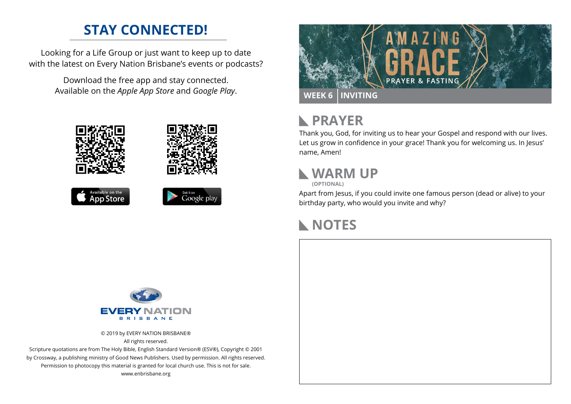## **STAY CONNECTED!**

Looking for a Life Group or just want to keep up to date with the latest on Every Nation Brisbane's events or podcasts?

> Download the free app and stay connected. Available on the *Apple App Store* and *Google Play*.











#### **PRAYER**  $\mathbb{R}$

Thank you, God, for inviting us to hear your Gospel and respond with our lives. Let us grow in confidence in your grace! Thank you for welcoming us. In Jesus' name, Amen!

## **WARM UP**

**(OPTIONAL)**

Apart from Jesus, if you could invite one famous person (dead or alive) to your birthday party, who would you invite and why?

## **NOTES**



© 2019 by EVERY NATION BRISBANE® All rights reserved.

Scripture quotations are from The Holy Bible, English Standard Version® (ESV®), Copyright © 2001 by Crossway, a publishing ministry of Good News Publishers. Used by permission. All rights reserved. Permission to photocopy this material is granted for local church use. This is not for sale. www.enbrisbane.org